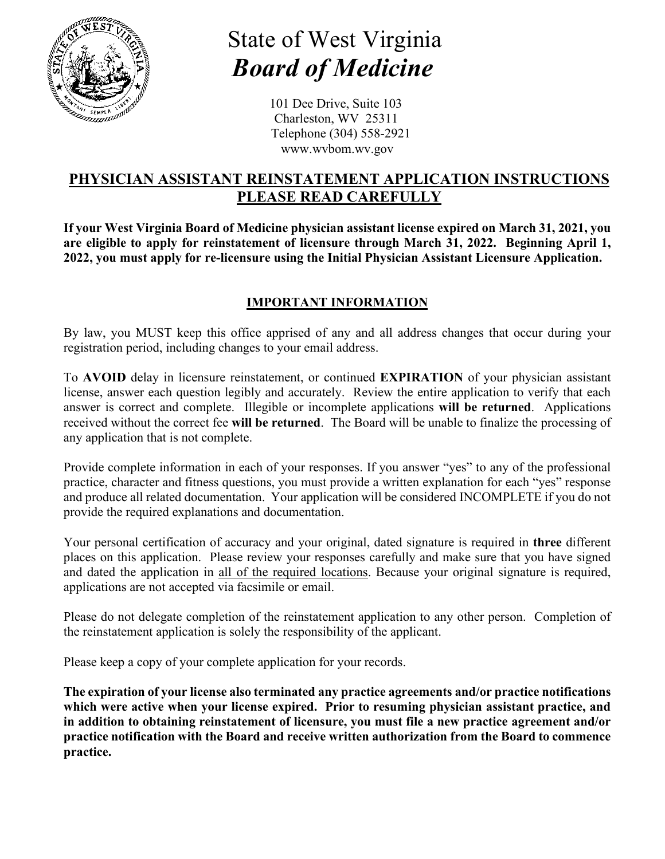

# State of West Virginia  *Board of Medicine*

101 Dee Drive, Suite 103 Charleston, WV 25311 Telephone (304) 558-2921 [www.wvbom.wv.gov](http://www.wvbom.wv.gov/)

## **PHYSICIAN ASSISTANT REINSTATEMENT APPLICATION INSTRUCTIONS PLEASE READ CAREFULLY**

**If your West Virginia Board of Medicine physician assistant license expired on March 31, 2021, you are eligible to apply for reinstatement of licensure through March 31, 2022. Beginning April 1, 2022, you must apply for re-licensure using the Initial Physician Assistant Licensure Application.** 

## **IMPORTANT INFORMATION**

By law, you MUST keep this office apprised of any and all address changes that occur during your registration period, including changes to your email address.

To **AVOID** delay in licensure reinstatement, or continued **EXPIRATION** of your physician assistant license, answer each question legibly and accurately. Review the entire application to verify that each answer is correct and complete. Illegible or incomplete applications **will be returned**. Applications received without the correct fee **will be returned**. The Board will be unable to finalize the processing of any application that is not complete.

Provide complete information in each of your responses. If you answer "yes" to any of the professional practice, character and fitness questions, you must provide a written explanation for each "yes" response and produce all related documentation. Your application will be considered INCOMPLETE if you do not provide the required explanations and documentation.

Your personal certification of accuracy and your original, dated signature is required in **three** different places on this application. Please review your responses carefully and make sure that you have signed and dated the application in all of the required locations. Because your original signature is required, applications are not accepted via facsimile or email.

Please do not delegate completion of the reinstatement application to any other person. Completion of the reinstatement application is solely the responsibility of the applicant.

Please keep a copy of your complete application for your records.

**The expiration of your license also terminated any practice agreements and/or practice notifications which were active when your license expired. Prior to resuming physician assistant practice, and in addition to obtaining reinstatement of licensure, you must file a new practice agreement and/or practice notification with the Board and receive written authorization from the Board to commence practice.**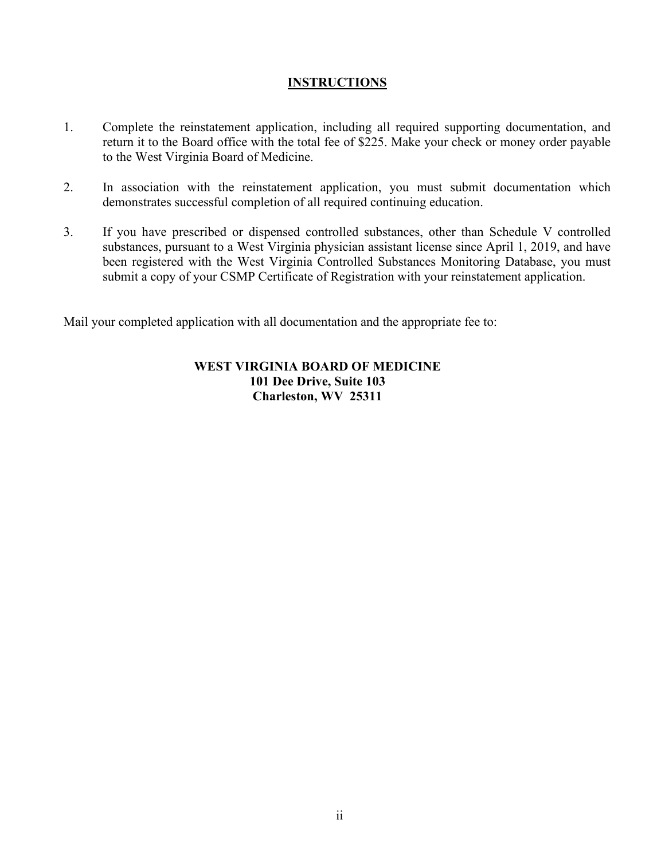#### **INSTRUCTIONS**

- 1. Complete the reinstatement application, including all required supporting documentation, and return it to the Board office with the total fee of \$225. Make your check or money order payable to the West Virginia Board of Medicine.
- 2. In association with the reinstatement application, you must submit documentation which demonstrates successful completion of all required continuing education.
- 3. If you have prescribed or dispensed controlled substances, other than Schedule V controlled substances, pursuant to a West Virginia physician assistant license since April 1, 2019, and have been registered with the West Virginia Controlled Substances Monitoring Database, you must submit a copy of your CSMP Certificate of Registration with your reinstatement application.

Mail your completed application with all documentation and the appropriate fee to:

#### **WEST VIRGINIA BOARD OF MEDICINE 101 Dee Drive, Suite 103 Charleston, WV 25311**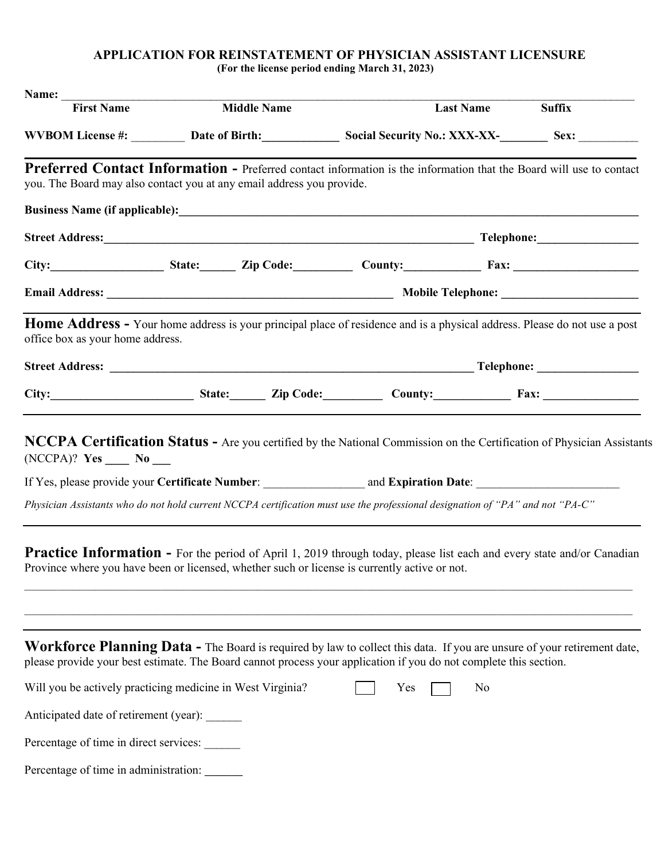#### **APPLICATION FOR REINSTATEMENT OF PHYSICIAN ASSISTANT LICENSURE (For the license period ending March 31, 2023)**

| Name: $\_\_$                                                                                                                                                                                                                                 |                    |     |                  |               |
|----------------------------------------------------------------------------------------------------------------------------------------------------------------------------------------------------------------------------------------------|--------------------|-----|------------------|---------------|
| <b>First Name</b>                                                                                                                                                                                                                            | <b>Middle Name</b> |     | <b>Last Name</b> | <b>Suffix</b> |
| WVBOM License #: Date of Birth: Social Security No.: XXX-XX-<br>Sex: Sex:                                                                                                                                                                    |                    |     |                  |               |
| Preferred Contact Information - Preferred contact information is the information that the Board will use to contact<br>you. The Board may also contact you at any email address you provide.                                                 |                    |     |                  |               |
|                                                                                                                                                                                                                                              |                    |     |                  |               |
|                                                                                                                                                                                                                                              |                    |     |                  |               |
| City: $\begin{array}{c} \n\end{array}$ State: $\begin{array}{c} \n\end{array}$ Zip Code: $\begin{array}{c} \n\end{array}$ County: $\begin{array}{c} \n\end{array}$ Fax:                                                                      |                    |     |                  |               |
|                                                                                                                                                                                                                                              |                    |     |                  |               |
| Home Address - Your home address is your principal place of residence and is a physical address. Please do not use a post<br>office box as your home address.                                                                                |                    |     |                  |               |
|                                                                                                                                                                                                                                              |                    |     |                  |               |
|                                                                                                                                                                                                                                              |                    |     |                  |               |
| (NCCPA)? Yes _____ No ____<br>Physician Assistants who do not hold current NCCPA certification must use the professional designation of "PA" and not "PA-C"                                                                                  |                    |     |                  |               |
| <b>Practice Information -</b> For the period of April 1, 2019 through today, please list each and every state and/or Canadian<br>Province where you have been or licensed, whether such or license is currently active or not.               |                    |     |                  |               |
| Workforce Planning Data - The Board is required by law to collect this data. If you are unsure of your retirement date,<br>please provide your best estimate. The Board cannot process your application if you do not complete this section. |                    |     |                  |               |
| Will you be actively practicing medicine in West Virginia?                                                                                                                                                                                   |                    | Yes | No               |               |
| Anticipated date of retirement (year): ______                                                                                                                                                                                                |                    |     |                  |               |
| Percentage of time in direct services:                                                                                                                                                                                                       |                    |     |                  |               |
| Percentage of time in administration:                                                                                                                                                                                                        |                    |     |                  |               |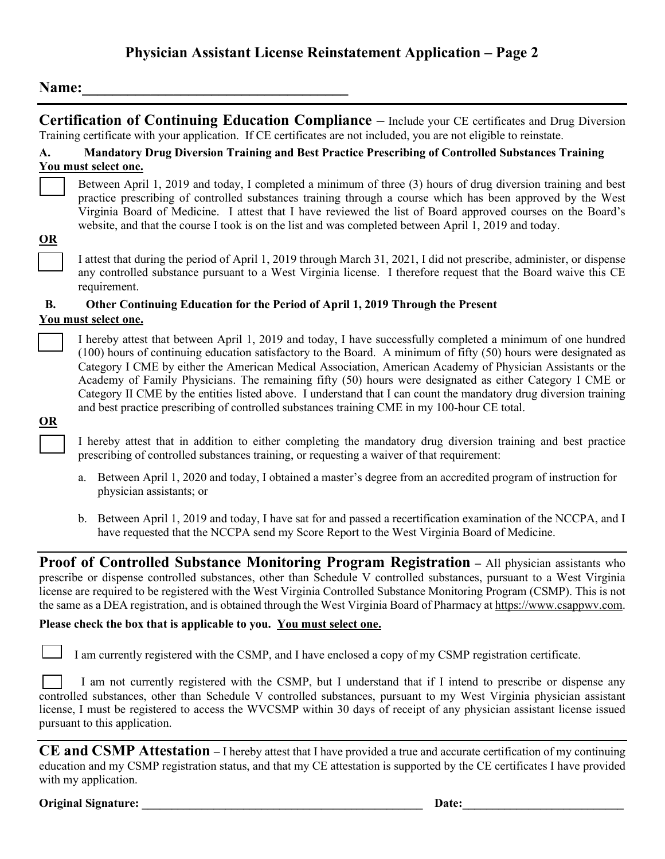## **Physician Assistant License Reinstatement Application – Page 2**

### Name:

|                           | Certification of Continuing Education Compliance - Include your CE certificates and Drug Diversion<br>Training certificate with your application. If CE certificates are not included, you are not eligible to reinstate.                                                                                                                                                                                                                                                                                                                                                                                                                                                      |
|---------------------------|--------------------------------------------------------------------------------------------------------------------------------------------------------------------------------------------------------------------------------------------------------------------------------------------------------------------------------------------------------------------------------------------------------------------------------------------------------------------------------------------------------------------------------------------------------------------------------------------------------------------------------------------------------------------------------|
| A.                        | Mandatory Drug Diversion Training and Best Practice Prescribing of Controlled Substances Training<br>You must select one.                                                                                                                                                                                                                                                                                                                                                                                                                                                                                                                                                      |
| $\underline{OR}$          | Between April 1, 2019 and today, I completed a minimum of three (3) hours of drug diversion training and best<br>practice prescribing of controlled substances training through a course which has been approved by the West<br>Virginia Board of Medicine. I attest that I have reviewed the list of Board approved courses on the Board's<br>website, and that the course I took is on the list and was completed between April 1, 2019 and today.                                                                                                                                                                                                                           |
|                           | I attest that during the period of April 1, 2019 through March 31, 2021, I did not prescribe, administer, or dispense<br>any controlled substance pursuant to a West Virginia license. I therefore request that the Board waive this CE<br>requirement.                                                                                                                                                                                                                                                                                                                                                                                                                        |
| <b>B.</b>                 | Other Continuing Education for the Period of April 1, 2019 Through the Present                                                                                                                                                                                                                                                                                                                                                                                                                                                                                                                                                                                                 |
|                           | You must select one.                                                                                                                                                                                                                                                                                                                                                                                                                                                                                                                                                                                                                                                           |
| $\underline{\mathbf{OR}}$ | I hereby attest that between April 1, 2019 and today, I have successfully completed a minimum of one hundred<br>(100) hours of continuing education satisfactory to the Board. A minimum of fifty (50) hours were designated as<br>Category I CME by either the American Medical Association, American Academy of Physician Assistants or the<br>Academy of Family Physicians. The remaining fifty (50) hours were designated as either Category I CME or<br>Category II CME by the entities listed above. I understand that I can count the mandatory drug diversion training<br>and best practice prescribing of controlled substances training CME in my 100-hour CE total. |
|                           | I hereby attest that in addition to either completing the mandatory drug diversion training and best practice<br>prescribing of controlled substances training, or requesting a waiver of that requirement:                                                                                                                                                                                                                                                                                                                                                                                                                                                                    |
|                           | a. Between April 1, 2020 and today, I obtained a master's degree from an accredited program of instruction for<br>physician assistants; or                                                                                                                                                                                                                                                                                                                                                                                                                                                                                                                                     |

b. Between April 1, 2019 and today, I have sat for and passed a recertification examination of the NCCPA, and I have requested that the NCCPA send my Score Report to the West Virginia Board of Medicine.

**Proof of Controlled Substance Monitoring Program Registration – All physician assistants who** prescribe or dispense controlled substances, other than Schedule V controlled substances, pursuant to a West Virginia license are required to be registered with the West Virginia Controlled Substance Monitoring Program (CSMP). This is not the same as a DEA registration, and is obtained through the West Virginia Board of Pharmacy at [https://www.csappwv.com.](https://www.csapp.wv.gov/) 

#### **Please check the box that is applicable to you. You must select one.**

I am currently registered with the CSMP, and I have enclosed a copy of my CSMP registration certificate.

I am not currently registered with the CSMP, but I understand that if I intend to prescribe or dispense any controlled substances, other than Schedule V controlled substances, pursuant to my West Virginia physician assistant license, I must be registered to access the WVCSMP within 30 days of receipt of any physician assistant license issued pursuant to this application.

**CE and CSMP Attestation –** I hereby attest that I have provided a true and accurate certification of my continuing education and my CSMP registration status, and that my CE attestation is supported by the CE certificates I have provided with my application.

**Original Signature: Date: Date: Date: Date: Date: Date: Date: Date: Date: Date: Date: Date: Date: Date: Date: Date: Date: Date: Date: Date: Date: Date: Date: Date: Date:**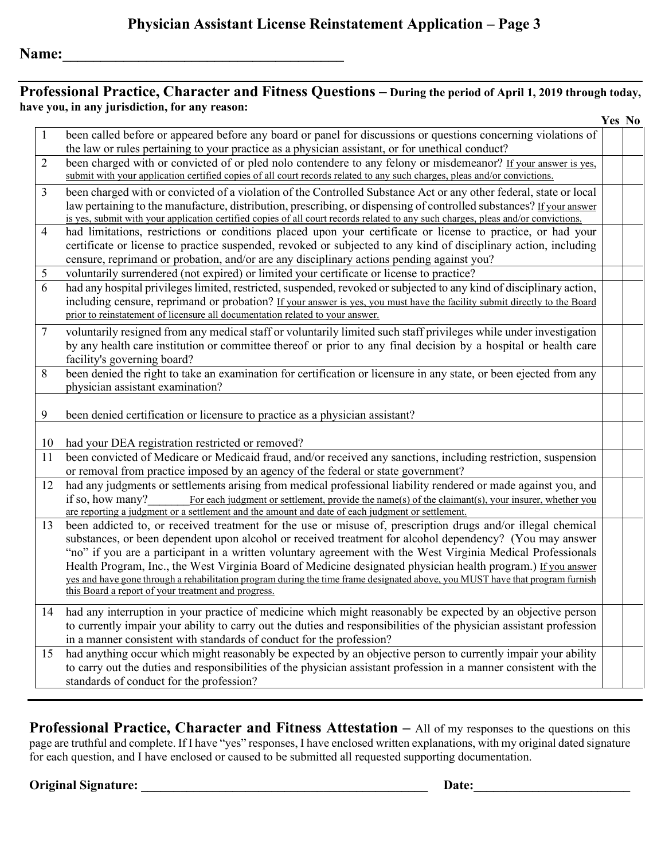## **Professional Practice, Character and Fitness Questions – During the period of April 1, 2019 through today, have you, in any jurisdiction, for any reason:**

|                |                                                                                                                                   | Yes No |
|----------------|-----------------------------------------------------------------------------------------------------------------------------------|--------|
| $\mathbf{1}$   | been called before or appeared before any board or panel for discussions or questions concerning violations of                    |        |
|                | the law or rules pertaining to your practice as a physician assistant, or for unethical conduct?                                  |        |
| $\overline{2}$ | been charged with or convicted of or pled nolo contendere to any felony or misdemeanor? If your answer is yes,                    |        |
|                | submit with your application certified copies of all court records related to any such charges, pleas and/or convictions.         |        |
| $\overline{3}$ | been charged with or convicted of a violation of the Controlled Substance Act or any other federal, state or local                |        |
|                | law pertaining to the manufacture, distribution, prescribing, or dispensing of controlled substances? If your answer              |        |
|                | is yes, submit with your application certified copies of all court records related to any such charges, pleas and/or convictions. |        |
| $\overline{4}$ | had limitations, restrictions or conditions placed upon your certificate or license to practice, or had your                      |        |
|                | certificate or license to practice suspended, revoked or subjected to any kind of disciplinary action, including                  |        |
|                | censure, reprimand or probation, and/or are any disciplinary actions pending against you?                                         |        |
| 5              | voluntarily surrendered (not expired) or limited your certificate or license to practice?                                         |        |
| 6              | had any hospital privileges limited, restricted, suspended, revoked or subjected to any kind of disciplinary action,              |        |
|                | including censure, reprimand or probation? If your answer is yes, you must have the facility submit directly to the Board         |        |
|                | prior to reinstatement of licensure all documentation related to your answer.                                                     |        |
| 7              | voluntarily resigned from any medical staff or voluntarily limited such staff privileges while under investigation                |        |
|                | by any health care institution or committee thereof or prior to any final decision by a hospital or health care                   |        |
|                | facility's governing board?                                                                                                       |        |
| 8              | been denied the right to take an examination for certification or licensure in any state, or been ejected from any                |        |
|                | physician assistant examination?                                                                                                  |        |
|                |                                                                                                                                   |        |
| 9              | been denied certification or licensure to practice as a physician assistant?                                                      |        |
|                |                                                                                                                                   |        |
| 10             | had your DEA registration restricted or removed?                                                                                  |        |
| 11             | been convicted of Medicare or Medicaid fraud, and/or received any sanctions, including restriction, suspension                    |        |
|                | or removal from practice imposed by an agency of the federal or state government?                                                 |        |
| 12             | had any judgments or settlements arising from medical professional liability rendered or made against you, and                    |        |
|                | if so, how many?<br>For each judgment or settlement, provide the name(s) of the claimant(s), your insurer, whether you            |        |
|                | are reporting a judgment or a settlement and the amount and date of each judgment or settlement.                                  |        |
| 13             | been addicted to, or received treatment for the use or misuse of, prescription drugs and/or illegal chemical                      |        |
|                | substances, or been dependent upon alcohol or received treatment for alcohol dependency? (You may answer                          |        |
|                | "no" if you are a participant in a written voluntary agreement with the West Virginia Medical Professionals                       |        |
|                | Health Program, Inc., the West Virginia Board of Medicine designated physician health program.) If you answer                     |        |
|                | yes and have gone through a rehabilitation program during the time frame designated above, you MUST have that program furnish     |        |
|                | this Board a report of your treatment and progress.                                                                               |        |
| 14             | had any interruption in your practice of medicine which might reasonably be expected by an objective person                       |        |
|                | to currently impair your ability to carry out the duties and responsibilities of the physician assistant profession               |        |
|                | in a manner consistent with standards of conduct for the profession?                                                              |        |
| 15             | had anything occur which might reasonably be expected by an objective person to currently impair your ability                     |        |
|                | to carry out the duties and responsibilities of the physician assistant profession in a manner consistent with the                |        |
|                | standards of conduct for the profession?                                                                                          |        |
|                |                                                                                                                                   |        |

**Professional Practice, Character and Fitness Attestation –** All of my responses to the questions on this page are truthful and complete. If I have "yes" responses, I have enclosed written explanations, with my original dated signature for each question, and I have enclosed or caused to be submitted all requested supporting documentation.

## **Original Signature: \_\_\_\_\_\_\_\_\_\_\_\_\_\_\_\_\_\_\_\_\_\_\_\_\_\_\_\_\_\_\_\_\_\_\_\_\_\_\_\_\_\_\_\_ Date:\_\_\_\_\_\_\_\_\_\_\_\_\_\_\_\_\_\_\_\_\_\_\_\_**